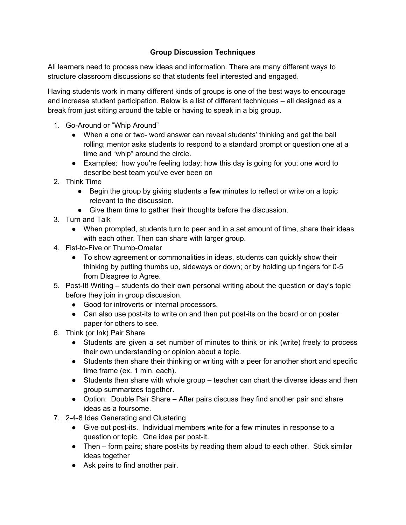## **Group Discussion Techniques**

All learners need to process new ideas and information. There are many different ways to structure classroom discussions so that students feel interested and engaged.

Having students work in many different kinds of groups is one of the best ways to encourage and increase student participation. Below is a list of different techniques – all designed as a break from just sitting around the table or having to speak in a big group.

- 1. Go-Around or "Whip Around"
	- When a one or two- word answer can reveal students' thinking and get the ball rolling; mentor asks students to respond to a standard prompt or question one at a time and "whip" around the circle.
	- Examples: how you're feeling today; how this day is going for you; one word to describe best team you've ever been on
- 2. Think Time
	- Begin the group by giving students a few minutes to reflect or write on a topic relevant to the discussion.
	- Give them time to gather their thoughts before the discussion.
- 3. Turn and Talk
	- When prompted, students turn to peer and in a set amount of time, share their ideas with each other. Then can share with larger group.
- 4. Fist-to-Five or Thumb-Ometer
	- To show agreement or commonalities in ideas, students can quickly show their thinking by putting thumbs up, sideways or down; or by holding up fingers for 0-5 from Disagree to Agree.
- 5. Post-It! Writing students do their own personal writing about the question or day's topic before they join in group discussion.
	- Good for introverts or internal processors.
	- Can also use post-its to write on and then put post-its on the board or on poster paper for others to see.
- 6. Think (or Ink) Pair Share
	- Students are given a set number of minutes to think or ink (write) freely to process their own understanding or opinion about a topic.
	- Students then share their thinking or writing with a peer for another short and specific time frame (ex. 1 min. each).
	- Students then share with whole group teacher can chart the diverse ideas and then group summarizes together.
	- Option: Double Pair Share After pairs discuss they find another pair and share ideas as a foursome.
- 7. 2-4-8 Idea Generating and Clustering
	- Give out post-its. Individual members write for a few minutes in response to a question or topic. One idea per post-it.
	- Then form pairs; share post-its by reading them aloud to each other. Stick similar ideas together
	- Ask pairs to find another pair.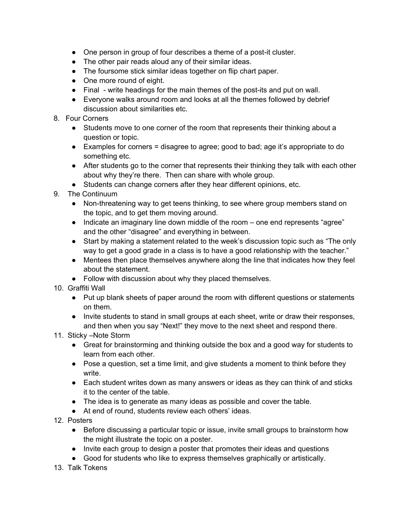- One person in group of four describes a theme of a post-it cluster.
- The other pair reads aloud any of their similar ideas.
- The foursome stick similar ideas together on flip chart paper.
- One more round of eight.
- Final write headings for the main themes of the post-its and put on wall.
- Everyone walks around room and looks at all the themes followed by debrief discussion about similarities etc.
- 8. Four Corners
	- Students move to one corner of the room that represents their thinking about a question or topic.
	- Examples for corners = disagree to agree; good to bad; age it's appropriate to do something etc.
	- After students go to the corner that represents their thinking they talk with each other about why they're there. Then can share with whole group.
	- Students can change corners after they hear different opinions, etc.
- 9. The Continuum
	- Non-threatening way to get teens thinking, to see where group members stand on the topic, and to get them moving around.
	- Indicate an imaginary line down middle of the room one end represents "agree" and the other "disagree" and everything in between.
	- Start by making a statement related to the week's discussion topic such as "The only way to get a good grade in a class is to have a good relationship with the teacher."
	- Mentees then place themselves anywhere along the line that indicates how they feel about the statement.
	- Follow with discussion about why they placed themselves.
- 10. Graffiti Wall
	- Put up blank sheets of paper around the room with different questions or statements on them.
	- Invite students to stand in small groups at each sheet, write or draw their responses, and then when you say "Next!" they move to the next sheet and respond there.
- 11. Sticky –Note Storm
	- Great for brainstorming and thinking outside the box and a good way for students to learn from each other.
	- Pose a question, set a time limit, and give students a moment to think before they write.
	- Each student writes down as many answers or ideas as they can think of and sticks it to the center of the table.
	- The idea is to generate as many ideas as possible and cover the table.
	- At end of round, students review each others' ideas.
- 12. Posters
	- Before discussing a particular topic or issue, invite small groups to brainstorm how the might illustrate the topic on a poster.
	- Invite each group to design a poster that promotes their ideas and questions
	- Good for students who like to express themselves graphically or artistically.
- 13. Talk Tokens